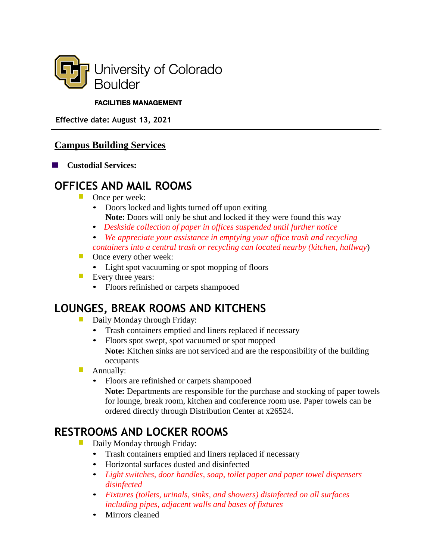

#### **FACILITIES MANAGEMENT**

 **Effective date: August 13, 2021**

#### **Campus Building Services**

**Custodial Services:**

### **OFFICES AND MAIL ROOMS**

- **Once per week:** 
	- Doors locked and lights turned off upon exiting **Note:** Doors will only be shut and locked if they were found this way
	- *Deskside collection of paper in offices suspended until further notice*
	- *We appreciate your assistance in emptying your office trash and recycling containers into a central trash or recycling can located nearby (kitchen, hallway*)
- Once every other week:
	- Light spot vacuuming or spot mopping of floors
- Every three years:
	- Floors refinished or carpets shampooed

# **LOUNGES, BREAK ROOMS AND KITCHENS**

- Daily Monday through Friday:
	- Trash containers emptied and liners replaced if necessary
	- Floors spot swept, spot vacuumed or spot mopped **Note:** Kitchen sinks are not serviced and are the responsibility of the building occupants
- $\mathcal{C}^{\mathcal{A}}$ Annually:
	- Floors are refinished or carpets shampooed **Note:** Departments are responsible for the purchase and stocking of paper towels for lounge, break room, kitchen and conference room use. Paper towels can be ordered directly through Distribution Center at x26524.

# **RESTROOMS AND LOCKER ROOMS**

- $\mathcal{L}_{\mathcal{A}}$ Daily Monday through Friday:
	- Trash containers emptied and liners replaced if necessary
	- Horizontal surfaces dusted and disinfected
	- *Light switches, door handles, soap, toilet paper and paper towel dispensers disinfected*
	- *Fixtures (toilets, urinals, sinks, and showers) disinfected on all surfaces including pipes, adjacent walls and bases of fixtures*
	- Mirrors cleaned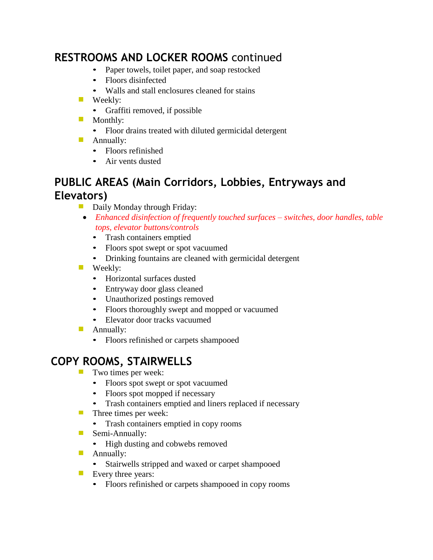# **RESTROOMS AND LOCKER ROOMS** continued

- Paper towels, toilet paper, and soap restocked
- Floors disinfected
- Walls and stall enclosures cleaned for stains
- **Weekly:** 
	- Graffiti removed, if possible
- **Monthly:** 
	- Floor drains treated with diluted germicidal detergent
- **Annually:** 
	- Floors refinished
	- Air vents dusted

#### **PUBLIC AREAS (Main Corridors, Lobbies, Entryways and Elevators)**

- Daily Monday through Friday:
	- *Enhanced disinfection of frequently touched surfaces – switches, door handles, table tops, elevator buttons/controls*
		- Trash containers emptied
		- Floors spot swept or spot vacuumed
		- Drinking fountains are cleaned with germicidal detergent
- **Weekly:** 
	- Horizontal surfaces dusted
	- Entryway door glass cleaned
	- Unauthorized postings removed
	- Floors thoroughly swept and mopped or vacuumed
	- Elevator door tracks vacuumed
- **Annually:** 
	- Floors refinished or carpets shampooed

## **COPY ROOMS, STAIRWELLS**

- $\mathcal{L}_{\mathcal{A}}$ Two times per week:
	- Floors spot swept or spot vacuumed
	- Floors spot mopped if necessary
	- Trash containers emptied and liners replaced if necessary
- **Three times per week:** 
	- Trash containers emptied in copy rooms
- Semi-Annually:
	- High dusting and cobwebs removed
- **Annually:** 
	- Stairwells stripped and waxed or carpet shampooed
- Every three years:
	- Floors refinished or carpets shampooed in copy rooms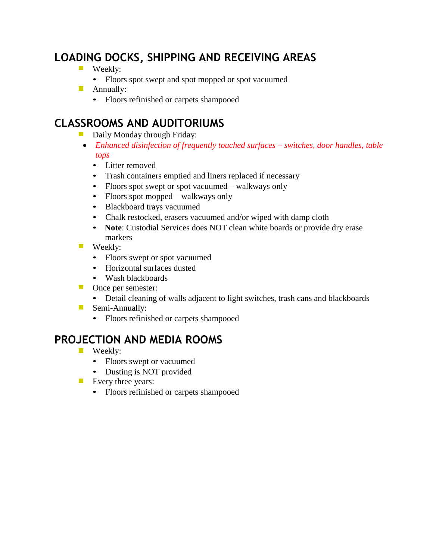# **LOADING DOCKS, SHIPPING AND RECEIVING AREAS**

- **Weekly:** 
	- Floors spot swept and spot mopped or spot vacuumed
- **Annually:** 
	- Floors refinished or carpets shampooed

# **CLASSROOMS AND AUDITORIUMS**

- Daily Monday through Friday:
- *Enhanced disinfection of frequently touched surfaces – switches, door handles, table tops*
	- Litter removed
	- Trash containers emptied and liners replaced if necessary
	- Floors spot swept or spot vacuumed walkways only
	- Floors spot mopped walkways only
	- Blackboard trays vacuumed
	- Chalk restocked, erasers vacuumed and/or wiped with damp cloth
	- **Note**: Custodial Services does NOT clean white boards or provide dry erase markers
- **Weekly:** 
	- Floors swept or spot vacuumed
	- Horizontal surfaces dusted
	- Wash blackboards
- **Once per semester:** 
	- Detail cleaning of walls adjacent to light switches, trash cans and blackboards
- Semi-Annually:
	- Floors refinished or carpets shampooed

## **PROJECTION AND MEDIA ROOMS**

- **Weekly:** 
	- Floors swept or vacuumed
	- Dusting is NOT provided
- **EVEL** Every three years:
	- Floors refinished or carpets shampooed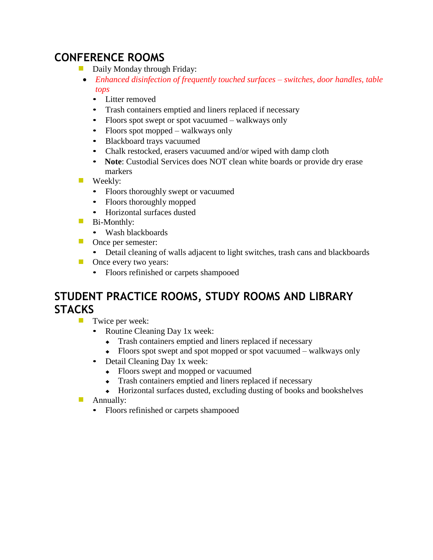# **CONFERENCE ROOMS**

- **Daily Monday through Friday:** 
	- *Enhanced disinfection of frequently touched surfaces – switches, door handles, table tops*
		- Litter removed
		- Trash containers emptied and liners replaced if necessary
		- Floors spot swept or spot vacuumed walkways only
		- Floors spot mopped walkways only
		- Blackboard trays vacuumed
		- Chalk restocked, erasers vacuumed and/or wiped with damp cloth
		- **Note**: Custodial Services does NOT clean white boards or provide dry erase markers
- **Weekly:** 
	- Floors thoroughly swept or vacuumed
	- Floors thoroughly mopped
	- Horizontal surfaces dusted
- **Bi-Monthly:** 
	- Wash blackboards
- Once per semester:
	- Detail cleaning of walls adjacent to light switches, trash cans and blackboards
- **Once every two years:** 
	- Floors refinished or carpets shampooed

# **STUDENT PRACTICE ROOMS, STUDY ROOMS AND LIBRARY STACKS**

- **Twice per week:** 
	- Routine Cleaning Day 1x week:
		- ♦ Trash containers emptied and liners replaced if necessary
		- ♦ Floors spot swept and spot mopped or spot vacuumed walkways only
	- Detail Cleaning Day 1x week:
		- ♦ Floors swept and mopped or vacuumed
		- ♦ Trash containers emptied and liners replaced if necessary
		- ♦ Horizontal surfaces dusted, excluding dusting of books and bookshelves
- **Annually:** 
	- Floors refinished or carpets shampooed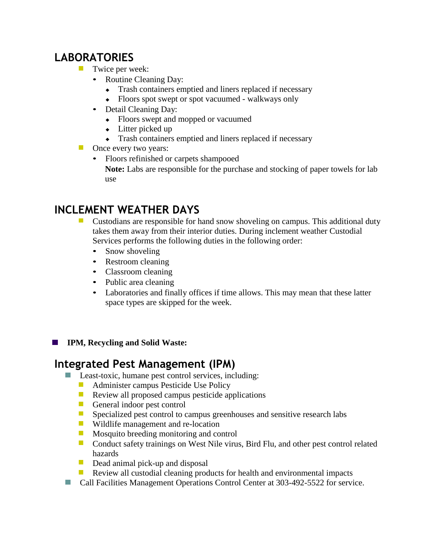### **LABORATORIES**

- **Twice per week:** 
	- Routine Cleaning Day:
		- ♦ Trash containers emptied and liners replaced if necessary
		- ♦ Floors spot swept or spot vacuumed walkways only
	- Detail Cleaning Day:
		- ♦ Floors swept and mopped or vacuumed
		- $\leftarrow$  Litter picked up
		- ♦ Trash containers emptied and liners replaced if necessary
- **Once every two years:** 
	- Floors refinished or carpets shampooed **Note:** Labs are responsible for the purchase and stocking of paper towels for lab use

## **INCLEMENT WEATHER DAYS**

- Custodians are responsible for hand snow shoveling on campus. This additional duty takes them away from their interior duties. During inclement weather Custodial Services performs the following duties in the following order:
	- Snow shoveling
	- Restroom cleaning
	- Classroom cleaning
	- Public area cleaning
	- Laboratories and finally offices if time allows. This may mean that these latter space types are skipped for the week.
- **IPM, Recycling and Solid Waste:**  $\mathcal{L}_{\mathcal{A}}$

#### **Integrated Pest Management (IPM)**

- Least-toxic, humane pest control services, including:
	- $\Box$ Administer campus Pesticide Use Policy
	- $\overline{\mathcal{A}}$ Review all proposed campus pesticide applications
	- $\overline{\mathbb{Z}}$ General indoor pest control
	- $\mathbb{Z}^{\mathbb{Z}}$ Specialized pest control to campus greenhouses and sensitive research labs
	- Wildlife management and re-location
	- $\mathbf{L}$ Mosquito breeding monitoring and control
	- Conduct safety trainings on West Nile virus, Bird Flu, and other pest control related hazards
	- $\blacksquare$ Dead animal pick-up and disposal
	- Review all custodial cleaning products for health and environmental impacts  $\mathcal{L}_{\mathcal{A}}$
- Call Facilities Management Operations Control Center at 303-492-5522 for service.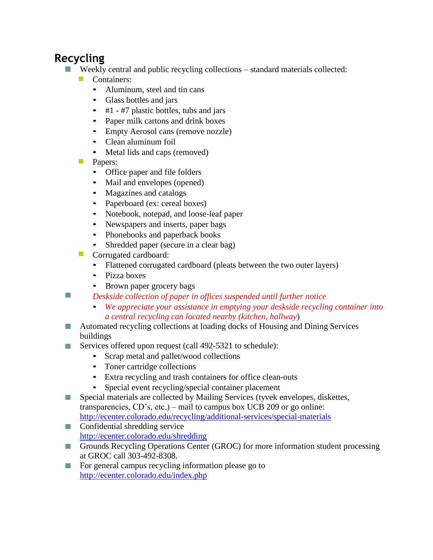## **Recycling**

- $\Box$ Weekly central and public recycling collections – standard materials collected:
	- $\mathcal{L}_{\mathcal{A}}$ Containers:
		- Aluminum, steel and tin cans
		- Glass bottles and jars
		- #1 #7 plastic bottles, tubs and jars
		- Paper milk cartons and drink boxes
		- Empty Aerosol cans (remove nozzle)
		- Clean aluminum foil
		- Metal lids and caps (removed)
	- **Papers:** 
		- Office paper and file folders
		- Mail and envelopes (opened)
		- Magazines and catalogs
		- Paperboard (ex: cereal boxes)
		- Notebook, notepad, and loose-leaf paper
		- Newspapers and inserts, paper bags
		- Phonebooks and paperback books
		- Shredded paper (secure in a clear bag)
	- Corrugated cardboard:
		- Flattened corrugated cardboard (pleats between the two outer layers)
		- Pizza boxes
		- Brown paper grocery bags
- $\Box$ *Deskside collection of paper in offices suspended until further notice*
	- *We appreciate your assistance in emptying your deskside recycling container into a central recycling can located nearby (kitchen, hallway*)
- Automated recycling collections at loading docks of Housing and Dining Services buildings
- Services offered upon request (call 492-5321 to schedule):  $\sim$ 
	- Scrap metal and pallet/wood collections
	- Toner cartridge collections
	- Extra recycling and trash containers for office clean-outs
	- Special event recycling/special container placement
- Special materials are collected by Mailing Services (tyvek envelopes, diskettes,  $\overline{\phantom{a}}$ transparencies, CD's, etc.) – mail to campus box UCB 209 or go online: <http://ecenter.colorado.edu/recycling/additional-services/special-materials>
- **Confidential shredding service** <http://ecenter.colorado.edu/shredding>
- Grounds Recycling Operations Center (GROC) for more information student processing at GROC call 303-492-8308.
- For general campus recycling information please go to  $\Box$ <http://ecenter.colorado.edu/index.php>